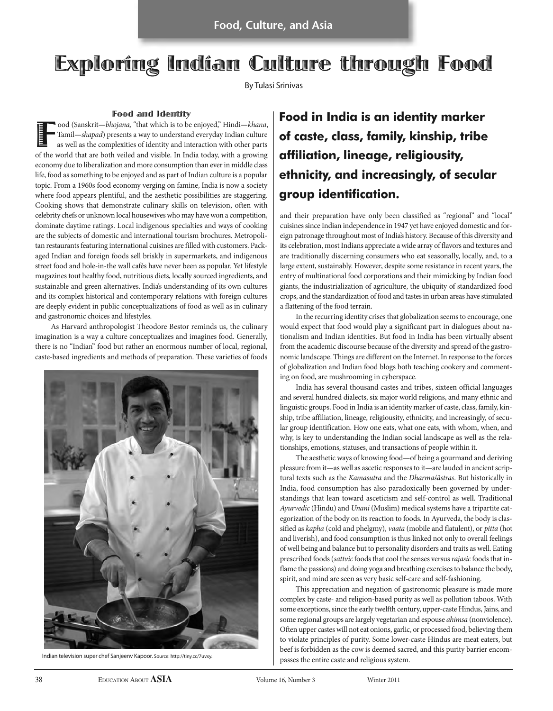**Food, Culture, and Asia**

# Exploring Indian Culture through Food

By Tulasi Srinivas

**Food and Identity**<br>ood (Sanskrit—*bhojana*, "that which is to be enjoyed," Hindi—*khana*, Food (Sanskrit—bhojana, "that which is to be enjoyed," Hindi—khana,<br>Tamil—shapad) presents a way to understand everyday Indian culture<br>as well as the complexities of identity and interaction with other parts<br>of the world t Tamil—shapad) presents a way to understand everyday Indian culture as well as the complexities of identity and interaction with other parts economy due to liberalization and more consumption than ever in middle class life, food as something to be enjoyed and as part of Indian culture is a popular topic. From a 1960s food economy verging on famine, India is now a society where food appears plentiful, and the aesthetic possibilities are staggering. Cooking shows that demonstrate culinary skills on television, often with celebrity chefs or unknown local housewives who may have won a competition, dominate daytime ratings. Local indigenous specialties and ways of cooking are the subjects of domestic and international tourism brochures. Metropolitan restaurants featuring international cuisines are filled with customers. Packaged Indian and foreign foods sell briskly in supermarkets, and indigenous street food and hole-in-the wall cafés have never been as popular. Yet lifestyle magazines tout healthy food, nutritious diets, locally sourced ingredients, and sustainable and green alternatives. India's understanding of its own cultures and its complex historical and contemporary relations with foreign cultures are deeply evident in public conceptualizations of food as well as in culinary and gastronomic choices and lifestyles.

As Harvard anthropologist Theodore Bestor reminds us, the culinary imagination is a way a culture conceptualizes and imagines food. Generally, there is no "Indian" food but rather an enormous number of local, regional, caste-based ingredients and methods of preparation. These varieties of foods



Indian television super chef Sanjeenv Kapoor. Source: http://tiny.cc/7uvxy.

## **Food in India is an identity marker of caste, class, family, kinship, tribe affiliation, lineage, religiousity, ethnicity, and increasingly, of secular group identification.**

and their preparation have only been classified as "regional" and "local" cuisines since Indian independence in 1947 yet have enjoyed domestic and foreign patronage throughout most of India's history. Because of this diversity and its celebration, most Indians appreciate a wide array of flavors and textures and are traditionally discerning consumers who eat seasonally, locally, and, to a large extent, sustainably. However, despite some resistance in recent years, the entry of multinational food corporations and their mimicking by Indian food giants, the industrialization of agriculture, the ubiquity of standardized food crops, and the standardization of food and tastes in urban areas have stimulated a flattening of the food terrain.

In the recurring identity crises that globalization seems to encourage, one would expect that food would play a significant part in dialogues about nationalism and Indian identities. But food in India has been virtually absent from the academic discourse because of the diversity and spread of the gastronomic landscape. Things are different on the Internet. In response to the forces of globalization and Indian food blogs both teaching cookery and commenting on food, are mushrooming in cyberspace.

India has several thousand castes and tribes, sixteen official languages and several hundred dialects, six major world religions, and many ethnic and linguistic groups. Food in India is an identity marker of caste, class, family, kinship, tribe affiliation, lineage, religiousity, ethnicity, and increasingly, of secular group identification. How one eats, what one eats, with whom, when, and why, is key to understanding the Indian social landscape as well as the relationships, emotions, statuses, and transactions of people within it.

The aesthetic ways of knowing food—of being a gourmand and deriving pleasure from it—as well as ascetic responses to it—are lauded in ancient scriptural texts such as the Kamasutra and the Dharmaśāstras. But historically in India, food consumption has also paradoxically been governed by understandings that lean toward asceticism and self-control as well. Traditional Ayurvedic (Hindu) and Unani (Muslim) medical systems have a tripartite categorization of the body on its reaction to foods. In Ayurveda, the body is classified as kapha (cold and phelgmy), vaata (mobile and flatulent), or pitta (hot and liverish), and food consumption is thus linked not only to overall feelings of well being and balance but to personality disorders and traits as well. Eating prescribed foods (sattvic foods that cool the senses versus rajasic foods that inflame the passions) and doing yoga and breathing exercises to balance the body, spirit, and mind are seen as very basic self-care and self-fashioning.

This appreciation and negation of gastronomic pleasure is made more complex by caste- and religion-based purity as well as pollution taboos. With some exceptions, since the early twelfth century, upper-caste Hindus, Jains, and some regional groups are largely vegetarian and espouse ahimsa (nonviolence). Often upper castes will not eat onions, garlic, or processed food, believing them to violate principles of purity. Some lower-caste Hindus are meat eaters, but beef is forbidden as the cow is deemed sacred, and this purity barrier encompasses the entire caste and religious system.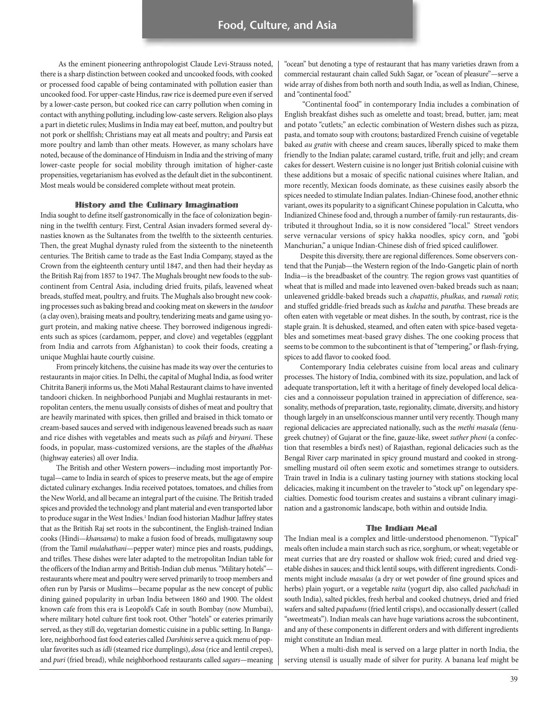As the eminent pioneering anthropologist Claude Levi-Strauss noted, there is a sharp distinction between cooked and uncooked foods, with cooked or processed food capable of being contaminated with pollution easier than uncooked food. For upper-caste Hindus, raw rice is deemed pure even if served by a lower-caste person, but cooked rice can carry pollution when coming in contact with anything polluting, including low-caste servers. Religion also plays a part in dietetic rules; Muslims in India may eat beef, mutton, and poultry but not pork or shellfish; Christians may eat all meats and poultry; and Parsis eat more poultry and lamb than other meats. However, as many scholars have noted, because of the dominance of Hinduism in India and the striving of many lower-caste people for social mobility through imitation of higher-caste propensities, vegetarianism has evolved as the default diet in the subcontinent. Most meals would be considered complete without meat protein.

### History and the Culinary Imagination

India sought to define itself gastronomically in the face of colonization beginning in the twelfth century. First, Central Asian invaders formed several dynasties known as the Sultanates from the twelfth to the sixteenth centuries. Then, the great Mughal dynasty ruled from the sixteenth to the nineteenth centuries. The British came to trade as the East India Company, stayed as the Crown from the eighteenth century until 1847, and then had their heyday as the British Raj from 1857 to 1947. The Mughals brought new foods to the subcontinent from Central Asia, including dried fruits, pilafs, leavened wheat breads, stuffed meat, poultry, and fruits. The Mughals also brought new cooking processes such as baking bread and cooking meat on skewers in the tandoor (a clay oven), braising meats and poultry, tenderizing meats and game using yogurt protein, and making native cheese. They borrowed indigenous ingredients such as spices (cardamom, pepper, and clove) and vegetables (eggplant from India and carrots from Afghanistan) to cook their foods, creating a unique Mughlai haute courtly cuisine.

From princely kitchens, the cuisine has made its way over the centuries to restaurants in major cities. In Delhi, the capital of Mughal India, as food writer Chitrita Banerji informs us, the Moti Mahal Restaurant claims to have invented tandoori chicken. In neighborhood Punjabi and Mughlai restaurants in metropolitan centers, the menu usually consists of dishes of meat and poultry that are heavily marinated with spices, then grilled and braised in thick tomato or cream-based sauces and served with indigenous leavened breads such as naan and rice dishes with vegetables and meats such as pilafs and biryani. These foods, in popular, mass-customized versions, are the staples of the dhabhas (highway eateries) all over India.

The British and other Western powers—including most importantly Portugal—came to India in search of spices to preserve meats, but the age of empire dictated culinary exchanges. India received potatoes, tomatoes, and chilies from the New World, and all became an integral part of the cuisine. The British traded spices and provided the technology and plant material and even transported labor to produce sugar in the West Indies.<sup>1</sup> Indian food historian Madhur Jaffrey states that as the British Raj set roots in the subcontinent, the English-trained Indian cooks (Hindi—khansama) to make a fusion food of breads, mulligatawny soup (from the Tamil mulahathani—pepper water) mince pies and roasts, puddings, and trifles. These dishes were later adapted to the metropolitan Indian table for the officers of the Indian army and British-Indian club menus. "Military hotels" restaurants where meat and poultry were served primarily to troop members and often run by Parsis or Muslims—became popular as the new concept of public dining gained popularity in urban India between 1860 and 1900. The oldest known cafe from this era is Leopold's Cafe in south Bombay (now Mumbai), where military hotel culture first took root. Other "hotels" or eateries primarily served, as they still do, vegetarian domestic cuisine in a public setting. In Bangalore, neighborhood fast food eateries called Darshinis serve a quick menu of popular favorites such as idli (steamed rice dumplings), dosa (rice and lentil crepes), and puri (fried bread), while neighborhood restaurants called sagars-meaning

"ocean" but denoting a type of restaurant that has many varieties drawn from a commercial restaurant chain called Sukh Sagar, or "ocean of pleasure"—serve a wide array of dishes from both north and south India, as well as Indian, Chinese, and "continental food."

"Continental food" in contemporary India includes a combination of English breakfast dishes such as omelette and toast; bread, butter, jam; meat and potato "cutlets;" an eclectic combination of Western dishes such as pizza, pasta, and tomato soup with croutons; bastardized French cuisine of vegetable baked au gratin with cheese and cream sauces, liberally spiced to make them friendly to the Indian palate; caramel custard, trifle, fruit and jelly; and cream cakes for dessert. Western cuisine is no longer just British colonial cuisine with these additions but a mosaic of specific national cuisines where Italian, and more recently, Mexican foods dominate, as these cuisines easily absorb the spices needed to stimulate Indian palates. Indian-Chinese food, another ethnic variant, owes its popularity to a significant Chinese population in Calcutta, who Indianized Chinese food and, through a number of family-run restaurants, distributed it throughout India, so it is now considered "local." Street vendors serve vernacular versions of spicy hakka noodles, spicy corn, and "gobi Manchurian," a unique Indian-Chinese dish of fried spiced cauliflower.

Despite this diversity, there are regional differences. Some observers contend that the Punjab—the Western region of the Indo-Gangetic plain of north India—is the breadbasket of the country. The region grows vast quantities of wheat that is milled and made into leavened oven-baked breads such as naan; unleavened griddle-baked breads such a chapattis, phulkas, and rumali rotis; and stuffed griddle-fried breads such as kulcha and paratha. These breads are often eaten with vegetable or meat dishes. In the south, by contrast, rice is the staple grain. It is dehusked, steamed, and often eaten with spice-based vegetables and sometimes meat-based gravy dishes. The one cooking process that seems to be common to the subcontinent is that of "tempering," or flash-frying, spices to add flavor to cooked food.

Contemporary India celebrates cuisine from local areas and culinary processes. The history of India, combined with its size, population, and lack of adequate transportation, left it with a heritage of finely developed local delicacies and a connoisseur population trained in appreciation of difference, seasonality, methods of preparation, taste, regionality, climate, diversity, and history though largely in an unselfconscious manner until very recently. Though many regional delicacies are appreciated nationally, such as the methi masala (fenugreek chutney) of Gujarat or the fine, gauze-like, sweet suther pheni (a confection that resembles a bird's nest) of Rajasthan, regional delicacies such as the Bengal River carp marinated in spicy ground mustard and cooked in strongsmelling mustard oil often seem exotic and sometimes strange to outsiders. Train travel in India is a culinary tasting journey with stations stocking local delicacies, making it incumbent on the traveler to "stock up" on legendary specialties. Domestic food tourism creates and sustains a vibrant culinary imagination and a gastronomic landscape, both within and outside India.

### The Indian Meal

The Indian meal is a complex and little-understood phenomenon. "Typical" meals often include a main starch such as rice, sorghum, or wheat; vegetable or meat curries that are dry roasted or shallow wok fried; cured and dried vegetable dishes in sauces; and thick lentil soups, with different ingredients. Condiments might include masalas (a dry or wet powder of fine ground spices and herbs) plain yogurt, or a vegetable raita (yogurt dip, also called pachchadi in south India), salted pickles, fresh herbal and cooked chutneys, dried and fried wafers and salted papadums (fried lentil crisps), and occasionally dessert (called "sweetmeats"). Indian meals can have huge variations across the subcontinent, and any of these components in different orders and with different ingredients might constitute an Indian meal.

When a multi-dish meal is served on a large platter in north India, the serving utensil is usually made of silver for purity. A banana leaf might be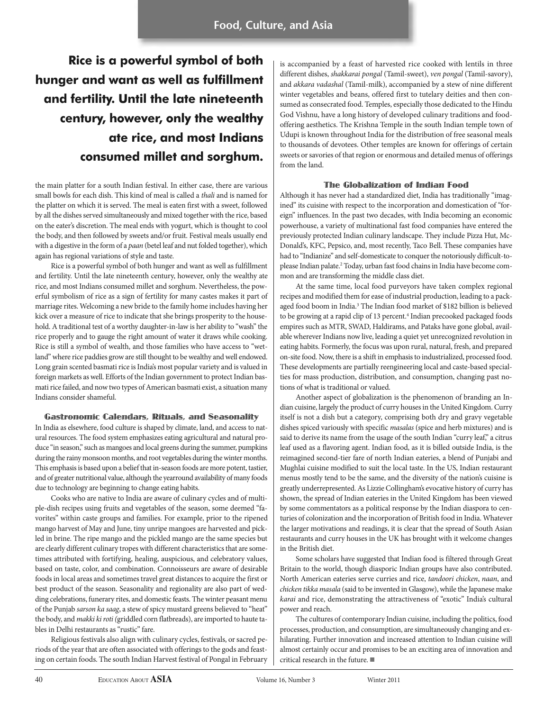**Rice is a powerful symbol of both hunger and want as well as fulfillment and fertility. Until the late nineteenth century, however, only the wealthy ate rice, and most Indians consumed millet and sorghum.**

the main platter for a south Indian festival. In either case, there are various small bowls for each dish. This kind of meal is called a thali and is named for the platter on which it is served. The meal is eaten first with a sweet, followed by all the dishes served simultaneously and mixed together with the rice, based on the eater's discretion. The meal ends with yogurt, which is thought to cool the body, and then followed by sweets and/or fruit. Festival meals usually end with a digestive in the form of a paan (betel leaf and nut folded together), which again has regional variations of style and taste.

Rice is a powerful symbol of both hunger and want as well as fulfillment and fertility. Until the late nineteenth century, however, only the wealthy ate rice, and most Indians consumed millet and sorghum. Nevertheless, the powerful symbolism of rice as a sign of fertility for many castes makes it part of marriage rites. Welcoming a new bride to the family home includes having her kick over a measure of rice to indicate that she brings prosperity to the household. A traditional test of a worthy daughter-in-law is her ability to "wash" the rice properly and to gauge the right amount of water it draws while cooking. Rice is still a symbol of wealth, and those families who have access to "wetland" where rice paddies grow are still thought to be wealthy and well endowed. Long grain scented basmati rice is India's most popular variety and is valued in foreign markets as well. Efforts of the Indian government to protect Indian basmati rice failed, and now two types of American basmati exist, a situation many Indians consider shameful.

### Gastronomic Calendars, Rituals, and Seasonality

In India as elsewhere, food culture is shaped by climate, land, and access to natural resources. The food system emphasizes eating agricultural and natural produce "in season," such as mangoes and local greens during the summer, pumpkins during the rainy monsoon months, and root vegetables during the winter months. This emphasis is based upon a belief that in-season foods are more potent, tastier, and of greater nutritional value, although the yearround availability of many foods due to technology are beginning to change eating habits.

Cooks who are native to India are aware of culinary cycles and of multiple-dish recipes using fruits and vegetables of the season, some deemed "favorites" within caste groups and families. For example, prior to the ripened mango harvest of May and June, tiny unripe mangoes are harvested and pickled in brine. The ripe mango and the pickled mango are the same species but are clearly different culinary tropes with different characteristics that are sometimes attributed with fortifying, healing, auspicious, and celebratory values, based on taste, color, and combination. Connoisseurs are aware of desirable foods in local areas and sometimes travel great distances to acquire the first or best product of the season. Seasonality and regionality are also part of wedding celebrations, funerary rites, and domestic feasts. The winter peasant menu of the Punjab sarson ka saag, a stew of spicy mustard greens believed to "heat" the body, and makki ki roti (griddled corn flatbreads), are imported to haute tables in Delhi restaurants as "rustic" fare.

Religious festivals also align with culinary cycles, festivals, or sacred periods of the year that are often associated with offerings to the gods and feasting on certain foods. The south Indian Harvest festival of Pongal in February is accompanied by a feast of harvested rice cooked with lentils in three different dishes, shakkarai pongal (Tamil-sweet), ven pongal (Tamil-savory), and akkara vadashal (Tamil-milk), accompanied by a stew of nine different winter vegetables and beans, offered first to tutelary deities and then consumed as consecrated food. Temples, especially those dedicated to the Hindu God Vishnu, have a long history of developed culinary traditions and foodoffering aesthetics. The Krishna Temple in the south Indian temple town of Udupi is known throughout India for the distribution of free seasonal meals to thousands of devotees. Other temples are known for offerings of certain sweets or savories of that region or enormous and detailed menus of offerings from the land.

### The Globalization of Indian Food

Although it has never had a standardized diet, India has traditionally "imagined" its cuisine with respect to the incorporation and domestication of "foreign" influences. In the past two decades, with India becoming an economic powerhouse, a variety of multinational fast food companies have entered the previously protected Indian culinary landscape. They include Pizza Hut, Mc-Donald's, KFC, Pepsico, and, most recently, Taco Bell. These companies have had to "Indianize" and self-domesticate to conquer the notoriously difficult-toplease Indian palate.<sup>2</sup> Today, urban fast food chains in India have become common and are transforming the middle class diet.

At the same time, local food purveyors have taken complex regional recipes and modified them for ease of industrial production, leading to a packaged food boom in India.<sup>3</sup> The Indian food market of \$182 billion is believed to be growing at a rapid clip of 13 percent.<sup>4</sup> Indian precooked packaged foods empires such as MTR, SWAD, Haldirams, and Pataks have gone global, available wherever Indians now live, leading a quiet yet unrecognized revolution in eating habits. Formerly, the focus was upon rural, natural, fresh, and prepared on-site food. Now, there is a shift in emphasis to industrialized, processed food. These developments are partially reengineering local and caste-based specialties for mass production, distribution, and consumption, changing past notions of what is traditional or valued.

Another aspect of globalization is the phenomenon of branding an Indian cuisine, largely the product of curry houses in the United Kingdom. Curry itself is not a dish but a category, comprising both dry and gravy vegetable dishes spiced variously with specific masalas (spice and herb mixtures) and is said to derive its name from the usage of the south Indian "curry leaf," a citrus leaf used as a flavoring agent. Indian food, as it is billed outside India, is the reimagined second-tier fare of north Indian eateries, a blend of Punjabi and Mughlai cuisine modified to suit the local taste. In the US, Indian restaurant menus mostly tend to be the same, and the diversity of the nation's cuisine is greatly underrepresented. As Lizzie Collingham's evocative history of curry has shown, the spread of Indian eateries in the United Kingdom has been viewed by some commentators as a political response by the Indian diaspora to centuries of colonization and the incorporation of British food in India. Whatever the larger motivations and readings, it is clear that the spread of South Asian restaurants and curry houses in the UK has brought with it welcome changes in the British diet.

Some scholars have suggested that Indian food is filtered through Great Britain to the world, though diasporic Indian groups have also contributed. North American eateries serve curries and rice, tandoori chicken, naan, and chicken tikka masala (said to be invented in Glasgow), while the Japanese make karai and rice, demonstrating the attractiveness of "exotic" India's cultural power and reach.

The cultures of contemporary Indian cuisine, including the politics, food processes, production, and consumption, are simultaneously changing and exhilarating. Further innovation and increased attention to Indian cuisine will almost certainly occur and promises to be an exciting area of innovation and critical research in the future.  $\blacksquare$